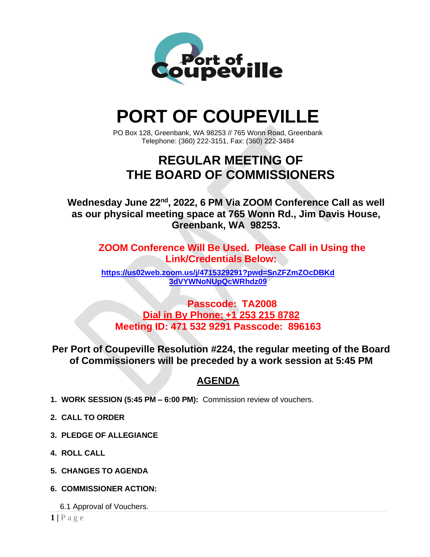

# **PORT OF COUPEVILLE**

PO Box 128, Greenbank, WA 98253 // 765 Wonn Road, Greenbank Telephone: (360) 222-3151, Fax: (360) 222-3484

## **REGULAR MEETING OF THE BOARD OF COMMISSIONERS**

**Wednesday June 22nd, 2022, 6 PM Via ZOOM Conference Call as well as our physical meeting space at 765 Wonn Rd., Jim Davis House, Greenbank, WA 98253.**

**ZOOM Conference Will Be Used. Please Call in Using the Link/Credentials Below:**

**[https://us02web.zoom.us/j/4715329291?pwd=SnZFZmZOcDBKd](https://us02web.zoom.us/j/4715329291?pwd=SnZFZmZOcDBKd3dVYWNoNUpQcWRhdz09) [3dVYWNoNUpQcWRhdz09](https://us02web.zoom.us/j/4715329291?pwd=SnZFZmZOcDBKd3dVYWNoNUpQcWRhdz09)**

**Passcode: TA2008 Dial in By Phone: +1 253 215 8782 Meeting ID: 471 532 9291 Passcode: 896163**

**Per Port of Coupeville Resolution #224, the regular meeting of the Board of Commissioners will be preceded by a work session at 5:45 PM**

### **AGENDA**

- **1. WORK SESSION (5:45 PM – 6:00 PM):** Commission review of vouchers.
- **2. CALL TO ORDER**
- **3. PLEDGE OF ALLEGIANCE**
- **4. ROLL CALL**
- **5. CHANGES TO AGENDA**
- **6. COMMISSIONER ACTION:**
	- 6.1 Approval of Vouchers.